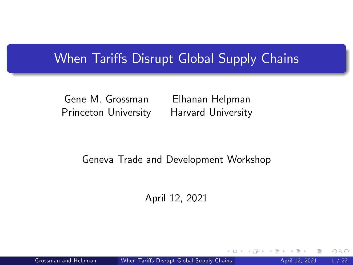## When Tariffs Disrupt Global Supply Chains

Gene M. Grossman Princeton University

Elhanan Helpman Harvard University

<span id="page-0-0"></span> $\Omega$ 

#### Geneva Trade and Development Workshop

April 12, 2021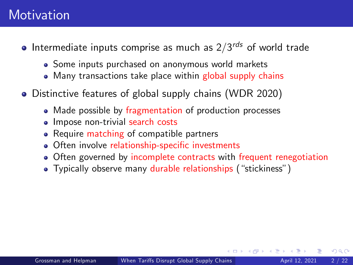## **Motivation**

- Intermediate inputs comprise as much as  $2/3^{rds}$  of world trade
	- Some inputs purchased on anonymous world markets
	- Many transactions take place within global supply chains
- Distinctive features of global supply chains (WDR 2020)
	- Made possible by fragmentation of production processes
	- Impose non-trivial search costs
	- Require matching of compatible partners
	- Often involve relationship-specific investments
	- Often governed by incomplete contracts with frequent renegotiation
	- Typically observe many durable relationships ("stickiness")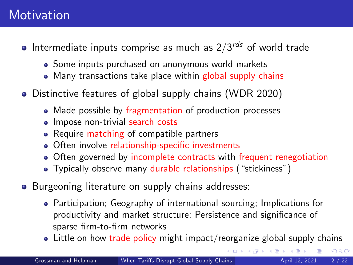## **Motivation**

- Intermediate inputs comprise as much as  $2/3^{rds}$  of world trade
	- Some inputs purchased on anonymous world markets
	- Many transactions take place within global supply chains
- Distinctive features of global supply chains (WDR 2020)
	- Made possible by fragmentation of production processes
	- Impose non-trivial search costs
	- Require matching of compatible partners
	- Often involve relationship-specific investments
	- Often governed by incomplete contracts with frequent renegotiation
	- Typically observe many durable relationships ("stickiness")
- **•** Burgeoning literature on supply chains addresses:
	- Participation; Geography of international sourcing; Implications for productivity and market structure; Persistence and significance of sparse firm-to-firm networks
	- $\bullet$  Little on how trade policy might impact/reorganize global supply chains

 $QQ$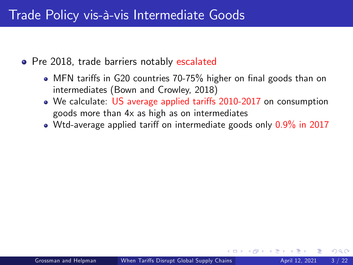## Trade Policy vis-à-vis Intermediate Goods

• Pre 2018, trade barriers notably escalated

- MFN tariffs in G20 countries 70-75% higher on final goods than on intermediates (Bown and Crowley, 2018)
- We calculate: US average applied tariffs 2010-2017 on consumption goods more than 4x as high as on intermediates
- $\bullet$  Wtd-average applied tariff on intermediate goods only  $0.9\%$  in 2017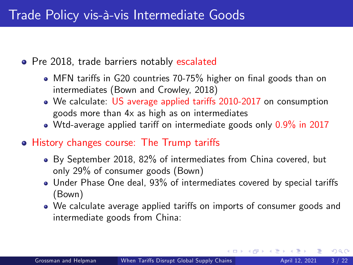• Pre 2018, trade barriers notably escalated

- MFN tariffs in G20 countries 70-75% higher on final goods than on intermediates (Bown and Crowley, 2018)
- We calculate: US average applied tariffs 2010-2017 on consumption goods more than 4x as high as on intermediates
- $\bullet$  Wtd-average applied tariff on intermediate goods only 0.9% in 2017
- History changes course: The Trump tariffs
	- By September 2018, 82% of intermediates from China covered, but only 29% of consumer goods (Bown)
	- Under Phase One deal, 93% of intermediates covered by special tariffs (Bown)
	- We calculate average applied tariffs on imports of consumer goods and intermediate goods from China: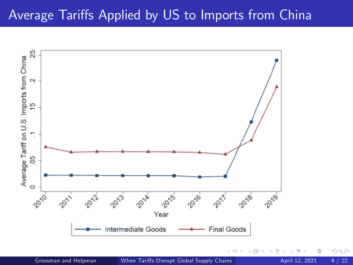## Average Tariffs Applied by US to Imports from China



 $290$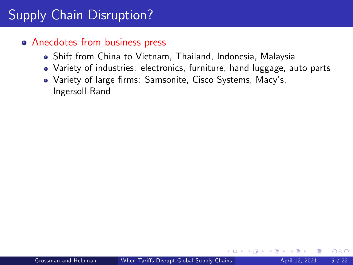# Supply Chain Disruption?

#### • Anecdotes from business press

- Shift from China to Vietnam, Thailand, Indonesia, Malaysia
- Variety of industries: electronics, furniture, hand luggage, auto parts
- Variety of large firms: Samsonite, Cisco Systems, Macy's, Ingersoll-Rand

 $200$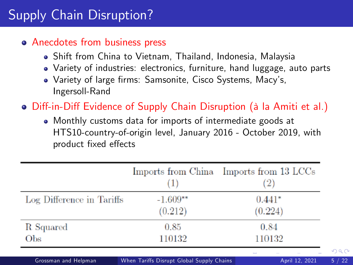# Supply Chain Disruption?

#### • Anecdotes from business press

- Shift from China to Vietnam, Thailand, Indonesia, Malaysia
- Variety of industries: electronics, furniture, hand luggage, auto parts
- Variety of large firms: Samsonite, Cisco Systems, Macy's, Ingersoll-Rand
- Diff-in-Diff Evidence of Supply Chain Disruption (à la Amiti et al.)
	- Monthly customs data for imports of intermediate goods at HTS10-country-of-origin level, January 2016 - October 2019, with product fixed effects

|                           |                       | Imports from China Imports from 13 LCCs |
|---------------------------|-----------------------|-----------------------------------------|
| Log Difference in Tariffs | $-1.609**$<br>(0.212) | $0.441*$<br>(0.224)                     |
| R Squared                 | 0.85                  | 0.84                                    |
| Obs                       | 110132                | 110132                                  |

Grossman and Helpman (When Tariffs Disrupt Global Supply Chains April 12, 2021 5/22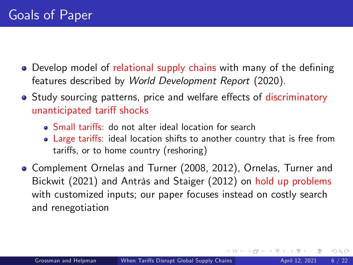- Develop model of relational supply chains with many of the defining features described by World Development Report (2020).
- Study sourcing patterns, price and welfare effects of discriminatory unanticipated tariff shocks
	- Small tari§s: do not alter ideal location for search
	- Large tariffs: ideal location shifts to another country that is free from tariffs, or to home country (reshoring)
- Complement Ornelas and Turner (2008, 2012), Ornelas, Turner and Bickwit (2021) and Antràs and Staiger (2012) on hold up problems with customized inputs; our paper focuses instead on costly search and renegotiation

 $200$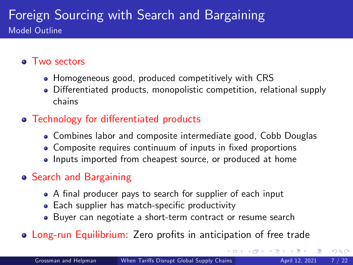### Foreign Sourcing with Search and Bargaining Model Outline

#### • Two sectors

- Homogeneous good, produced competitively with CRS
- Differentiated products, monopolistic competition, relational supply chains

### • Technology for differentiated products

- Combines labor and composite intermediate good, Cobb Douglas
- Composite requires continuum of inputs in fixed proportions
- Inputs imported from cheapest source, or produced at home

### Search and Bargaining

- A final producer pays to search for supplier of each input
- Each supplier has match-specific productivity
- Buyer can negotiate a short-term contract or resume search
- Long-run Equilibrium: Zero profits in anticipation of free trade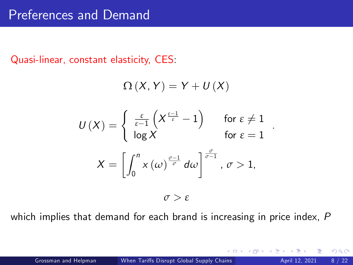### Preferences and Demand

Quasi-linear, constant elasticity, CES:

$$
\Omega\left(X,\, Y\right)=Y+U\left(X\right)
$$
\n
$$
U\left(X\right)=\begin{cases}\n\frac{\varepsilon}{\varepsilon-1}\left(X^{\frac{\varepsilon-1}{\varepsilon}}-1\right) & \text{for } \varepsilon \neq 1 \\
\log X & \text{for } \varepsilon = 1\n\end{cases}
$$
\n
$$
X=\left[\int_{0}^{n} x\left(\omega\right)^{\frac{\sigma-1}{\sigma}} d\omega\right]^{\frac{\sigma}{\sigma-1}}, \sigma > 1,
$$

 $\sigma > \varepsilon$ 

which implies that demand for each brand is increasing in price index, P

.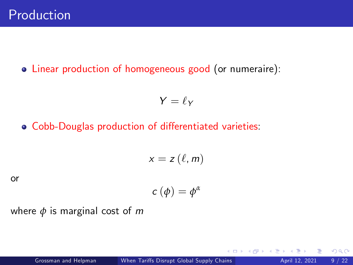Linear production of homogeneous good (or numeraire):

$$
Y=\ell_Y
$$

• Cobb-Douglas production of differentiated varieties:

$$
x=z\left(\ell,m\right)
$$

or

$$
c(\phi)=\phi^{\alpha}
$$

where  $\phi$  is marginal cost of m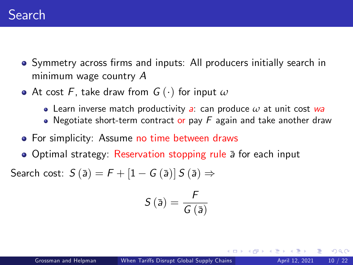- Symmetry across firms and inputs: All producers initially search in minimum wage country A
- At cost F, take draw from  $G(\cdot)$  for input  $\omega$ 
	- Learn inverse match productivity a: can produce *ω* at unit cost wa
	- Negotiate short-term contract or pay  $F$  again and take another draw
- For simplicity: Assume no time between draws
- Optimal strategy: Reservation stopping rule a for each input

Search cost:  $S(\bar{a}) = F + [1 - G(\bar{a})] S(\bar{a}) \Rightarrow$ 

$$
S\left(\bar{a}\right)=\frac{F}{G\left(\bar{a}\right)}
$$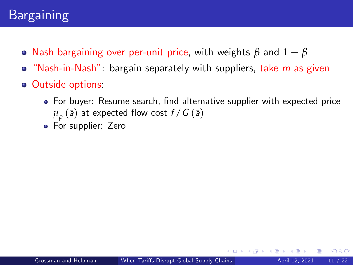## Bargaining

- Nash bargaining over per-unit price, with weights  $\beta$  and  $1 \beta$
- $\bullet$  "Nash-in-Nash": bargain separately with suppliers, take m as given
- Outside options:
	- For buyer: Resume search, find alternative supplier with expected price  $\mu_{\rho}^{}$  (ā) at expected flow cost  $f$  /  $G$  (ā)
	- For supplier: Zero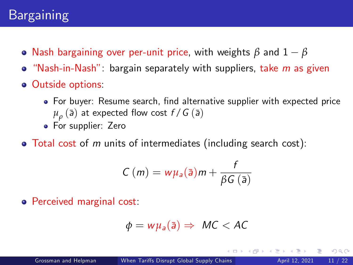- Nash bargaining over per-unit price, with weights *β* and 1 *β*
- $\bullet$  "Nash-in-Nash": bargain separately with suppliers, take m as given
- **o** Outside options:
	- For buyer: Resume search, find alternative supplier with expected price  $\mu_{\rho}^{}$  (ā) at expected flow cost  $f$  /  $G$  (ā)
	- For supplier: Zero
- $\bullet$  Total cost of m units of intermediates (including search cost):

$$
C(m) = w\mu_a(\bar{a})m + \frac{f}{\beta G(\bar{a})}
$$

Perceived marginal cost:

$$
\phi = w\mu_a(\bar{a}) \Rightarrow MC < AC
$$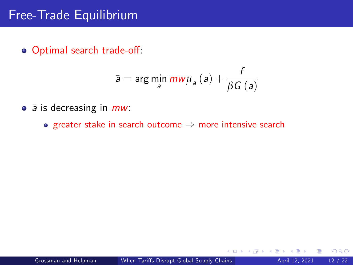## Free-Trade Equilibrium

o Optimal search trade-off:

$$
\bar{\mathsf{a}} = \arg\min_{\mathsf{a}} \frac{m w \mu_{\mathsf{a}}\left(\mathsf{a}\right) + \frac{f}{\beta G\left(\mathsf{a}\right)}
$$

- $\bullet$   $\bar{a}$  is decreasing in  $mw$ :
	- greater stake in search outcome  $\Rightarrow$  more intensive search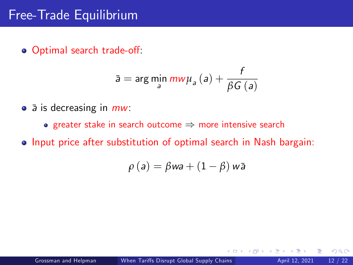o Optimal search trade-off:

$$
\bar{\mathsf{a}} = \arg\min_{\mathsf{a}} \frac{m w \mu_{\mathsf{a}}\left(\mathsf{a}\right) + \frac{f}{\beta G\left(\mathsf{a}\right)}
$$

- $\bullet$   $\bar{a}$  is decreasing in  $mw$ :
	- greater stake in search outcome  $\Rightarrow$  more intensive search
- **•** Input price after substitution of optimal search in Nash bargain:

$$
\rho(a) = \beta wa + (1 - \beta) w\bar{a}
$$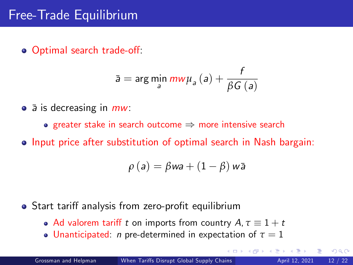o Optimal search trade-off:

$$
\bar{\mathsf{a}} = \arg\min_{\mathsf{a}}\textit{mw}\mu_{\mathsf{a}}\left(\mathsf{a}\right) + \frac{f}{\beta G\left(\mathsf{a}\right)}
$$

- $\bullet$   $\bar{a}$  is decreasing in  $mw$ :
	- **•** greater stake in search outcome  $\Rightarrow$  more intensive search
- **•** Input price after substitution of optimal search in Nash bargain:

$$
\rho(a) = \beta wa + (1 - \beta) w\bar{a}
$$

- Start tariff analysis from zero-profit equilibrium
	- Ad valorem tariff t on imports from country  $A, \tau \equiv 1 + t$
	- **Unanticipated:** *n* pre-determined in expectation of  $\tau = 1$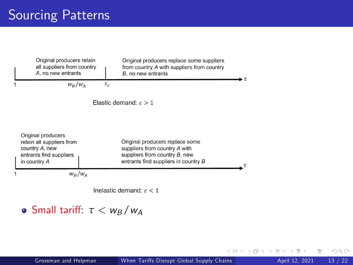|                                     | Original producers retain<br>all suppliers from country<br>A, no new entrants                                |          | Original producers replace some suppliers<br>from country A with suppliers from country<br>B, no new entrants                             | - т |
|-------------------------------------|--------------------------------------------------------------------------------------------------------------|----------|-------------------------------------------------------------------------------------------------------------------------------------------|-----|
|                                     | $W_R/W_A$                                                                                                    | $\tau_c$ |                                                                                                                                           |     |
| Elastic demand: $\varepsilon > 1$   |                                                                                                              |          |                                                                                                                                           |     |
|                                     | Original producers<br>retain all suppliers from<br>country A, new<br>entrants find suppliers<br>in country A |          | Original producers replace some<br>suppliers from country A with<br>suppliers from country B, new<br>entrants find suppliers in country B |     |
| 1                                   | $W_B/W_A$                                                                                                    |          |                                                                                                                                           |     |
| Inelastic demand: $\varepsilon < 1$ |                                                                                                              |          |                                                                                                                                           |     |

### o Small tariff:  $τ < w_B/w_A$

4 D F

∢母  $\rightarrow$ - 41 - 51 活

 $299$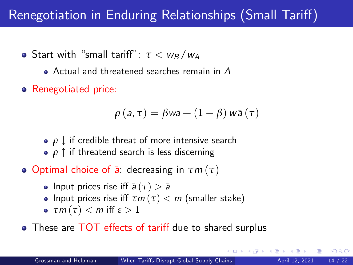# Renegotiation in Enduring Relationships (Small Tariff)

- **•** Start with "small tariff":  $\tau < w_B/w_A$ 
	- Actual and threatened searches remain in A
- Renegotiated price:

$$
\rho\left(\mathsf{a},\tau\right)=\beta\mathsf{w}\mathsf{a}+\left(1-\beta\right)\mathsf{w}\bar{\mathsf{a}}\left(\tau\right)
$$

- **•**  $\rho \downarrow$  if credible threat of more intensive search
- *ρ*  $\uparrow$  if threatend search is less discerning
- Optimal choice of a¯: decreasing in *τ*m (*τ*)
	- Input prices rise iff  $\bar{a}(\tau) > \bar{a}$
	- **•** Input prices rise iff  $\tau m(\tau) < m$  (smaller stake)
	- $\bullet$   $\tau m(\tau) < m$  iff  $\varepsilon > 1$
- These are TOT effects of tariff due to shared surplus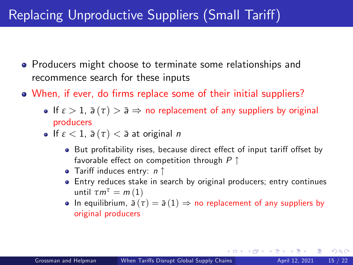# Replacing Unproductive Suppliers (Small Tariff)

- **•** Producers might choose to terminate some relationships and recommence search for these inputs
- When, if ever, do firms replace some of their initial suppliers?
	- **If**  $\varepsilon > 1$ ,  $\bar{a}(\tau) > \bar{a} \Rightarrow$  no replacement of any suppliers by original producers
	- **If**  $\varepsilon$  < 1,  $\bar{a}(\tau)$  <  $\bar{a}$  at original *n* 
		- But profitability rises, because direct effect of input tariff offset by favorable effect on competition through  $P \uparrow$
		- Tariff induces entry:  $n \uparrow$
		- Entry reduces stake in search by original producers; entry continues until  $\tau m^{\tau} = m(1)$
		- In equilibrium,  $\bar{a}(\tau) = \bar{a}(1) \Rightarrow$  no replacement of any suppliers by original producers

 $QQQ$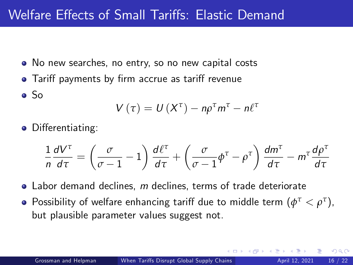## Welfare Effects of Small Tariffs: Elastic Demand

- No new searches, no entry, so no new capital costs
- Tariff payments by firm accrue as tariff revenue
- So

$$
V(\tau) = U(X^{\tau}) - n\rho^{\tau}m^{\tau} - n\ell^{\tau}
$$

• Differentiating:

$$
\frac{1}{n}\frac{dV^{\tau}}{d\tau} = \left(\frac{\sigma}{\sigma - 1} - 1\right)\frac{d\ell^{\tau}}{d\tau} + \left(\frac{\sigma}{\sigma - 1}\phi^{\tau} - \rho^{\tau}\right)\frac{dm^{\tau}}{d\tau} - m^{\tau}\frac{d\rho^{\tau}}{d\tau}
$$

- $\bullet$  Labor demand declines, m declines, terms of trade deteriorate
- Possibility of welfare enhancing tariff due to middle term  $(\phi^\tau < \rho^\tau)$ , but plausible parameter values suggest not.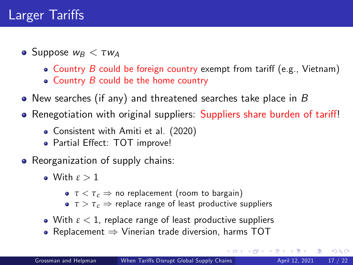## Larger Tariffs

- **o** Suppose  $w_B < \tau w_A$ 
	- Country  $B$  could be foreign country exempt from tariff (e.g., Vietnam)
	- $\bullet$  Country B could be the home country
- New searches (if any) and threatened searches take place in B
- Renegotiation with original suppliers: Suppliers share burden of tariff!
	- Consistent with Amiti et al. (2020)
	- Partial Effect: TOT improve!
- Reorganization of supply chains:
	- With *ε* > 1
		- **•** *τ* < *τ*<sub>c</sub> ⇒ no replacement (room to bargain)
		- $\bullet \tau > \tau_c \Rightarrow$  replace range of least productive suppliers
	- With *ε* < 1, replace range of least productive suppliers
	- Replacement  $\Rightarrow$  Vinerian trade diversion, harms TOT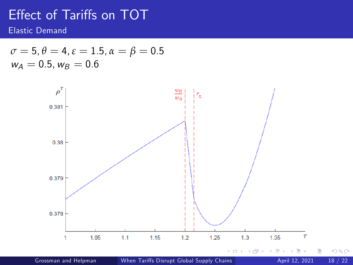## Effect of Tariffs on TOT

Elastic Demand

$$
\sigma = 5, \theta = 4, \varepsilon = 1.5, \alpha = \beta = 0.5
$$
  

$$
w_A = 0.5, w_B = 0.6
$$



Grossman and Helpman (When Tariffs Disrupt Global Supply Chains April 12, 2021 18 / 22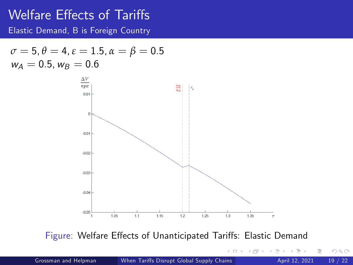## Welfare Effects of Tariffs

Elastic Demand, B is Foreign Country

$$
\begin{array}{l} \sigma=5, \theta=4, \varepsilon=1.5, \alpha=\beta=0.5 \\ w_A=0.5, w_B=0.6 \end{array}
$$



Figure: Welfare Effects of Unanticipated Tariffs: Elastic Demand

 $\Box$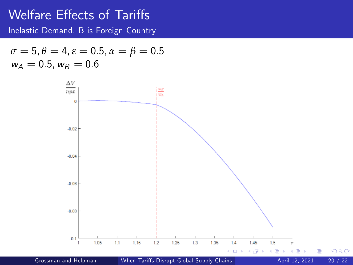### Welfare Effects of Tariffs

Inelastic Demand, B is Foreign Country

$$
\begin{array}{l} \sigma=5, \theta=4, \varepsilon=0.5, \alpha=\beta=0.5 \\ w_A=0.5, w_B=0.6 \end{array}
$$

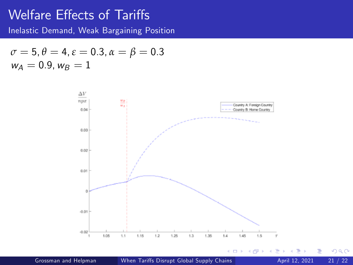### Welfare Effects of Tariffs

Inelastic Demand, Weak Bargaining Position

$$
\sigma = 5, \theta = 4, \varepsilon = 0.3, \alpha = \beta = 0.3
$$
  

$$
w_A = 0.9, w_B = 1
$$



Þ

 $299$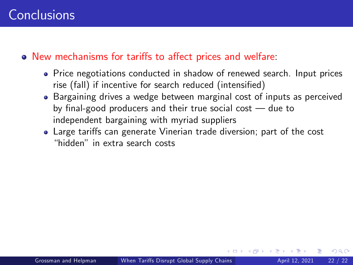#### • New mechanisms for tariffs to affect prices and welfare:

- Price negotiations conducted in shadow of renewed search. Input prices rise (fall) if incentive for search reduced (intensified)
- Bargaining drives a wedge between marginal cost of inputs as perceived by final-good producers and their true social cost  $-$  due to independent bargaining with myriad suppliers
- Large tariffs can generate Vinerian trade diversion; part of the cost ìhiddenî in extra search costs